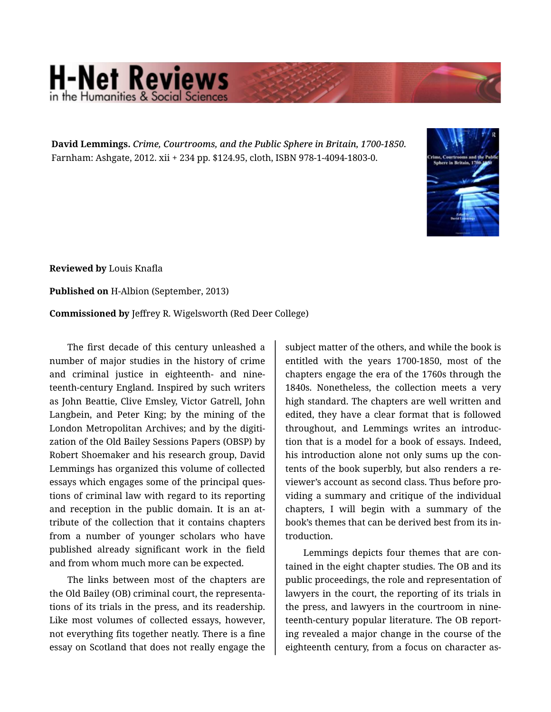## **H-Net Reviews**

**David Lemmings.** *Crime, Courtrooms, and the Public Sphere in Britain, 1700-1850.*  Farnham: Ashgate, 2012. xii + 234 pp. \$124.95, cloth, ISBN 978-1-4094-1803-0.



**Reviewed by** Louis Knafla

**Published on** H-Albion (September, 2013)

**Commissioned by** Jeffrey R. Wigelsworth (Red Deer College)

The first decade of this century unleashed a number of major studies in the history of crime and criminal justice in eighteenth- and nine‐ teenth-century England. Inspired by such writers as John Beattie, Clive Emsley, Victor Gatrell, John Langbein, and Peter King; by the mining of the London Metropolitan Archives; and by the digiti‐ zation of the Old Bailey Sessions Papers (OBSP) by Robert Shoemaker and his research group, David Lemmings has organized this volume of collected essays which engages some of the principal ques‐ tions of criminal law with regard to its reporting and reception in the public domain. It is an at‐ tribute of the collection that it contains chapters from a number of younger scholars who have published already significant work in the field and from whom much more can be expected.

The links between most of the chapters are the Old Bailey (OB) criminal court, the representa‐ tions of its trials in the press, and its readership. Like most volumes of collected essays, however, not everything fits together neatly. There is a fine essay on Scotland that does not really engage the subject matter of the others, and while the book is entitled with the years 1700-1850, most of the chapters engage the era of the 1760s through the 1840s. Nonetheless, the collection meets a very high standard. The chapters are well written and edited, they have a clear format that is followed throughout, and Lemmings writes an introduc‐ tion that is a model for a book of essays. Indeed, his introduction alone not only sums up the contents of the book superbly, but also renders a re‐ viewer's account as second class. Thus before pro‐ viding a summary and critique of the individual chapters, I will begin with a summary of the book's themes that can be derived best from its in‐ troduction.

Lemmings depicts four themes that are con‐ tained in the eight chapter studies. The OB and its public proceedings, the role and representation of lawyers in the court, the reporting of its trials in the press, and lawyers in the courtroom in nine‐ teenth-century popular literature. The OB report‐ ing revealed a major change in the course of the eighteenth century, from a focus on character as‐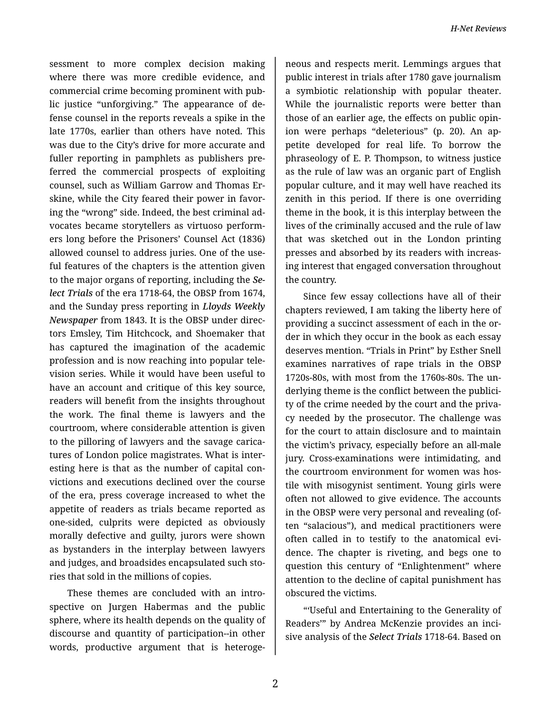sessment to more complex decision making where there was more credible evidence, and commercial crime becoming prominent with pub‐ lic justice "unforgiving." The appearance of de‐ fense counsel in the reports reveals a spike in the late 1770s, earlier than others have noted. This was due to the City's drive for more accurate and fuller reporting in pamphlets as publishers pre‐ ferred the commercial prospects of exploiting counsel, such as William Garrow and Thomas Er‐ skine, while the City feared their power in favoring the "wrong" side. Indeed, the best criminal ad‐ vocates became storytellers as virtuoso perform‐ ers long before the Prisoners' Counsel Act (1836) allowed counsel to address juries. One of the use‐ ful features of the chapters is the attention given to the major organs of reporting, including the *Se‐ lect Trials* of the era 1718-64, the OBSP from 1674, and the Sunday press reporting in *Lloyds Weekly Newspaper* from 1843. It is the OBSP under direc‐ tors Emsley, Tim Hitchcock, and Shoemaker that has captured the imagination of the academic profession and is now reaching into popular tele‐ vision series. While it would have been useful to have an account and critique of this key source, readers will benefit from the insights throughout the work. The final theme is lawyers and the courtroom, where considerable attention is given to the pilloring of lawyers and the savage carica‐ tures of London police magistrates. What is inter‐ esting here is that as the number of capital con‐ victions and executions declined over the course of the era, press coverage increased to whet the appetite of readers as trials became reported as one-sided, culprits were depicted as obviously morally defective and guilty, jurors were shown as bystanders in the interplay between lawyers and judges, and broadsides encapsulated such sto‐ ries that sold in the millions of copies.

These themes are concluded with an intro‐ spective on Jurgen Habermas and the public sphere, where its health depends on the quality of discourse and quantity of participation--in other words, productive argument that is heteroge‐

neous and respects merit. Lemmings argues that public interest in trials after 1780 gave journalism a symbiotic relationship with popular theater. While the journalistic reports were better than those of an earlier age, the effects on public opin‐ ion were perhaps "deleterious" (p. 20). An ap‐ petite developed for real life. To borrow the phraseology of E. P. Thompson, to witness justice as the rule of law was an organic part of English popular culture, and it may well have reached its zenith in this period. If there is one overriding theme in the book, it is this interplay between the lives of the criminally accused and the rule of law that was sketched out in the London printing presses and absorbed by its readers with increas‐ ing interest that engaged conversation throughout the country.

Since few essay collections have all of their chapters reviewed, I am taking the liberty here of providing a succinct assessment of each in the or‐ der in which they occur in the book as each essay deserves mention. "Trials in Print" by Esther Snell examines narratives of rape trials in the OBSP 1720s-80s, with most from the 1760s-80s. The un‐ derlying theme is the conflict between the publicity of the crime needed by the court and the priva‐ cy needed by the prosecutor. The challenge was for the court to attain disclosure and to maintain the victim's privacy, especially before an all-male jury. Cross-examinations were intimidating, and the courtroom environment for women was hos‐ tile with misogynist sentiment. Young girls were often not allowed to give evidence. The accounts in the OBSP were very personal and revealing (of‐ ten "salacious"), and medical practitioners were often called in to testify to the anatomical evi‐ dence. The chapter is riveting, and begs one to question this century of "Enlightenment" where attention to the decline of capital punishment has obscured the victims.

"'Useful and Entertaining to the Generality of Readers'" by Andrea McKenzie provides an inci‐ sive analysis of the *Select Trials* 1718-64. Based on

2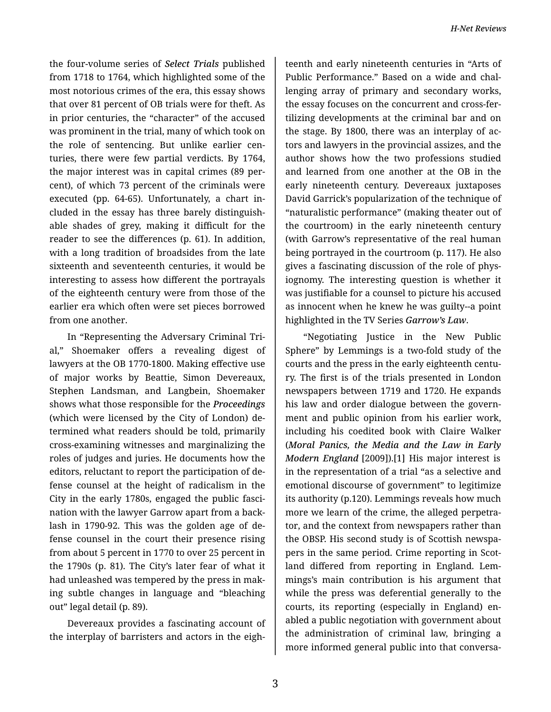the four-volume series of *Select Trials* published from 1718 to 1764, which highlighted some of the most notorious crimes of the era, this essay shows that over 81 percent of OB trials were for theft. As in prior centuries, the "character" of the accused was prominent in the trial, many of which took on the role of sentencing. But unlike earlier cen‐ turies, there were few partial verdicts. By 1764, the major interest was in capital crimes (89 per‐ cent), of which 73 percent of the criminals were executed (pp. 64-65). Unfortunately, a chart in‐ cluded in the essay has three barely distinguish‐ able shades of grey, making it difficult for the reader to see the differences (p. 61). In addition, with a long tradition of broadsides from the late sixteenth and seventeenth centuries, it would be interesting to assess how different the portrayals of the eighteenth century were from those of the earlier era which often were set pieces borrowed from one another.

In "Representing the Adversary Criminal Tri‐ al," Shoemaker offers a revealing digest of lawyers at the OB 1770-1800. Making effective use of major works by Beattie, Simon Devereaux, Stephen Landsman, and Langbein, Shoemaker shows what those responsible for the *Proceedings* (which were licensed by the City of London) de‐ termined what readers should be told, primarily cross-examining witnesses and marginalizing the roles of judges and juries. He documents how the editors, reluctant to report the participation of de‐ fense counsel at the height of radicalism in the City in the early 1780s, engaged the public fasci‐ nation with the lawyer Garrow apart from a back‐ lash in 1790-92. This was the golden age of de‐ fense counsel in the court their presence rising from about 5 percent in 1770 to over 25 percent in the 1790s (p. 81). The City's later fear of what it had unleashed was tempered by the press in mak‐ ing subtle changes in language and "bleaching out" legal detail (p. 89).

Devereaux provides a fascinating account of the interplay of barristers and actors in the eigh‐

teenth and early nineteenth centuries in "Arts of Public Performance." Based on a wide and chal‐ lenging array of primary and secondary works, the essay focuses on the concurrent and cross-fer‐ tilizing developments at the criminal bar and on the stage. By 1800, there was an interplay of ac‐ tors and lawyers in the provincial assizes, and the author shows how the two professions studied and learned from one another at the OB in the early nineteenth century. Devereaux juxtaposes David Garrick's popularization of the technique of "naturalistic performance" (making theater out of the courtroom) in the early nineteenth century (with Garrow's representative of the real human being portrayed in the courtroom (p. 117). He also gives a fascinating discussion of the role of phys‐ iognomy. The interesting question is whether it was justifiable for a counsel to picture his accused as innocent when he knew he was guilty--a point highlighted in the TV Series *Garrow's Law*.

"Negotiating Justice in the New Public Sphere" by Lemmings is a two-fold study of the courts and the press in the early eighteenth centu‐ ry. The first is of the trials presented in London newspapers between 1719 and 1720. He expands his law and order dialogue between the govern‐ ment and public opinion from his earlier work, including his coedited book with Claire Walker (*Moral Panics, the Media and the Law in Early Modern England* [2009]).[1] His major interest is in the representation of a trial "as a selective and emotional discourse of government" to legitimize its authority (p.120). Lemmings reveals how much more we learn of the crime, the alleged perpetra‐ tor, and the context from newspapers rather than the OBSP. His second study is of Scottish newspa‐ pers in the same period. Crime reporting in Scot‐ land differed from reporting in England. Lem‐ mings's main contribution is his argument that while the press was deferential generally to the courts, its reporting (especially in England) en‐ abled a public negotiation with government about the administration of criminal law, bringing a more informed general public into that conversa‐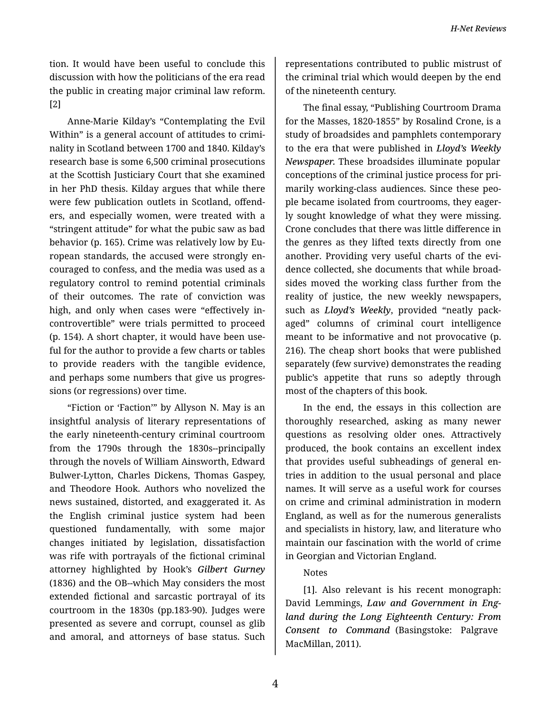tion. It would have been useful to conclude this discussion with how the politicians of the era read the public in creating major criminal law reform. [2]

Anne-Marie Kilday's "Contemplating the Evil Within" is a general account of attitudes to crimi‐ nality in Scotland between 1700 and 1840. Kilday's research base is some 6,500 criminal prosecutions at the Scottish Justiciary Court that she examined in her PhD thesis. Kilday argues that while there were few publication outlets in Scotland, offend‐ ers, and especially women, were treated with a "stringent attitude" for what the pubic saw as bad behavior (p. 165). Crime was relatively low by Eu‐ ropean standards, the accused were strongly en‐ couraged to confess, and the media was used as a regulatory control to remind potential criminals of their outcomes. The rate of conviction was high, and only when cases were "effectively in‐ controvertible" were trials permitted to proceed (p. 154). A short chapter, it would have been use‐ ful for the author to provide a few charts or tables to provide readers with the tangible evidence, and perhaps some numbers that give us progres‐ sions (or regressions) over time.

"Fiction or 'Faction'" by Allyson N. May is an insightful analysis of literary representations of the early nineteenth-century criminal courtroom from the 1790s through the 1830s--principally through the novels of William Ainsworth, Edward Bulwer-Lytton, Charles Dickens, Thomas Gaspey, and Theodore Hook. Authors who novelized the news sustained, distorted, and exaggerated it. As the English criminal justice system had been questioned fundamentally, with some major changes initiated by legislation, dissatisfaction was rife with portrayals of the fictional criminal attorney highlighted by Hook's *Gilbert Gurney* (1836) and the OB--which May considers the most extended fictional and sarcastic portrayal of its courtroom in the 1830s (pp.183-90). Judges were presented as severe and corrupt, counsel as glib and amoral, and attorneys of base status. Such representations contributed to public mistrust of the criminal trial which would deepen by the end of the nineteenth century.

The final essay, "Publishing Courtroom Drama for the Masses, 1820-1855" by Rosalind Crone, is a study of broadsides and pamphlets contemporary to the era that were published in *Lloyd's Weekly Newspaper.* These broadsides illuminate popular conceptions of the criminal justice process for pri‐ marily working-class audiences. Since these peo‐ ple became isolated from courtrooms, they eagerly sought knowledge of what they were missing. Crone concludes that there was little difference in the genres as they lifted texts directly from one another. Providing very useful charts of the evi‐ dence collected, she documents that while broad‐ sides moved the working class further from the reality of justice, the new weekly newspapers, such as *Lloyd's Weekly*, provided "neatly pack‐ aged" columns of criminal court intelligence meant to be informative and not provocative (p. 216). The cheap short books that were published separately (few survive) demonstrates the reading public's appetite that runs so adeptly through most of the chapters of this book.

In the end, the essays in this collection are thoroughly researched, asking as many newer questions as resolving older ones. Attractively produced, the book contains an excellent index that provides useful subheadings of general en‐ tries in addition to the usual personal and place names. It will serve as a useful work for courses on crime and criminal administration in modern England, as well as for the numerous generalists and specialists in history, law, and literature who maintain our fascination with the world of crime in Georgian and Victorian England.

## Notes

[1]. Also relevant is his recent monograph: David Lemmings, *Law and Government in Eng‐ land during the Long Eighteenth Century: From Consent to Command* (Basingstoke: Palgrave MacMillan, 2011).